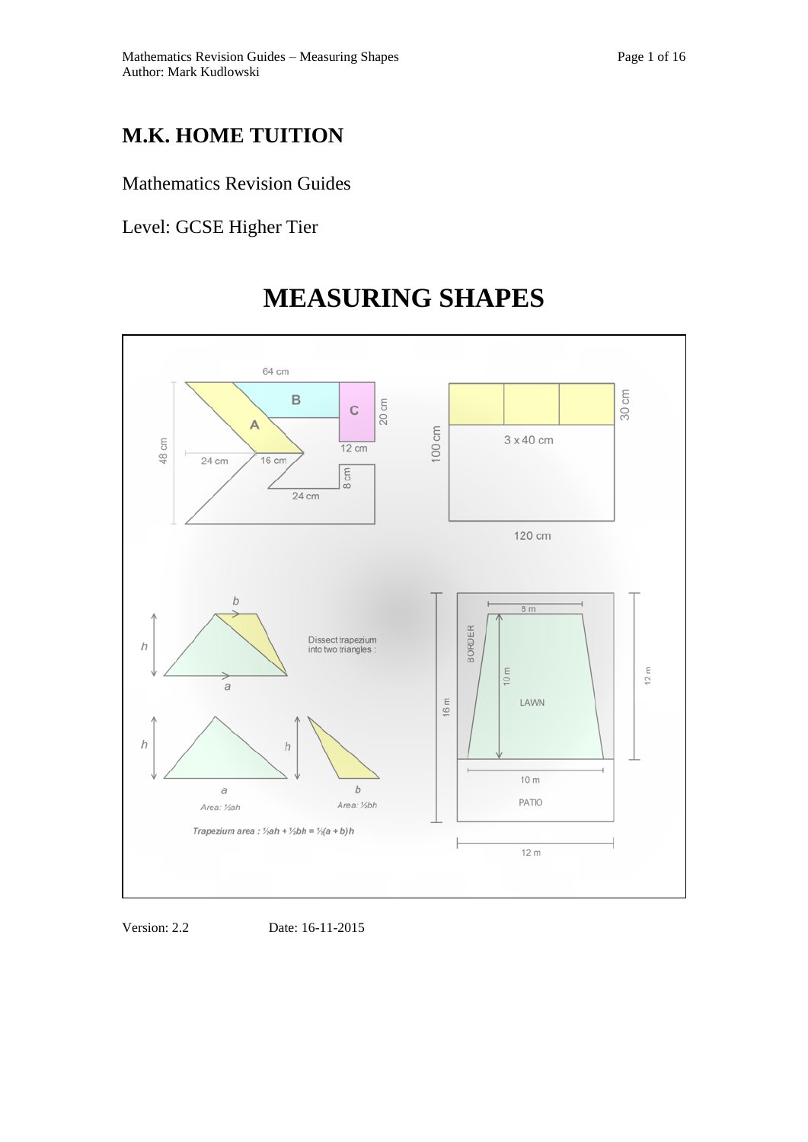## Mathematics Revision Guides

Level: GCSE Higher Tier



# **MEASURING SHAPES**

Version: 2.2 Date: 16-11-2015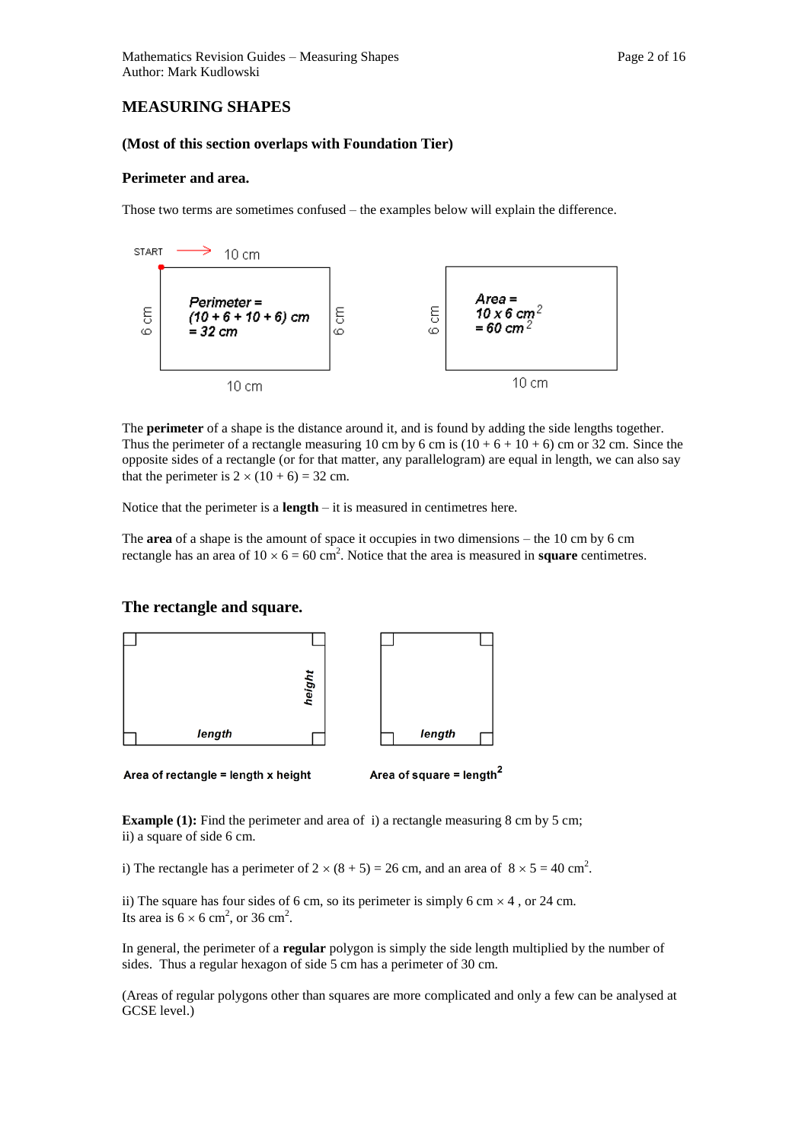## **MEASURING SHAPES**

#### **(Most of this section overlaps with Foundation Tier)**

#### **Perimeter and area.**

Those two terms are sometimes confused – the examples below will explain the difference.



The **perimeter** of a shape is the distance around it, and is found by adding the side lengths together. Thus the perimeter of a rectangle measuring 10 cm by 6 cm is  $(10 + 6 + 10 + 6)$  cm or 32 cm. Since the opposite sides of a rectangle (or for that matter, any parallelogram) are equal in length, we can also say that the perimeter is  $2 \times (10 + 6) = 32$  cm.

Notice that the perimeter is a **length** – it is measured in centimetres here.

The **area** of a shape is the amount of space it occupies in two dimensions – the 10 cm by 6 cm rectangle has an area of  $10 \times 6 = 60$  cm<sup>2</sup>. Notice that the area is measured in **square** centimetres.

#### **The rectangle and square.**



Area of rectangle = length x height

Area of square = length<sup>2</sup>

**Example (1):** Find the perimeter and area of i) a rectangle measuring 8 cm by 5 cm; ii) a square of side 6 cm.

i) The rectangle has a perimeter of  $2 \times (8 + 5) = 26$  cm, and an area of  $8 \times 5 = 40$  cm<sup>2</sup>.

ii) The square has four sides of 6 cm, so its perimeter is simply 6 cm  $\times$  4, or 24 cm. Its area is  $6 \times 6$  cm<sup>2</sup>, or 36 cm<sup>2</sup>.

In general, the perimeter of a **regular** polygon is simply the side length multiplied by the number of sides. Thus a regular hexagon of side 5 cm has a perimeter of 30 cm.

(Areas of regular polygons other than squares are more complicated and only a few can be analysed at GCSE level.)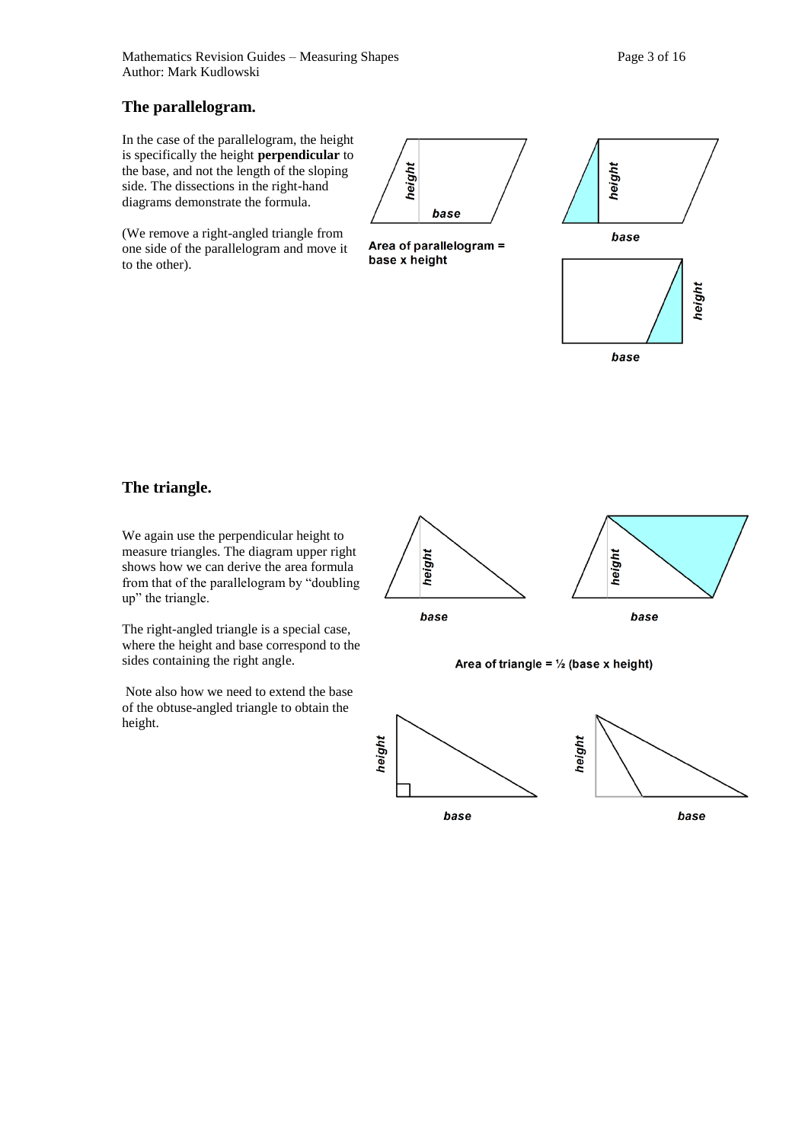## **The parallelogram.**

In the case of the parallelogram, the height is specifically the height **perpendicular** to the base, and not the length of the sloping side. The dissections in the right-hand diagrams demonstrate the formula.

(We remove a right-angled triangle from one side of the parallelogram and move it to the other).



Area of parallelogram = base x height



## **The triangle.**

We again use the perpendicular height to measure triangles. The diagram upper right shows how we can derive the area formula from that of the parallelogram by "doubling up" the triangle.

The right-angled triangle is a special case, where the height and base correspond to the sides containing the right angle.

Note also how we need to extend the base of the obtuse-angled triangle to obtain the height.





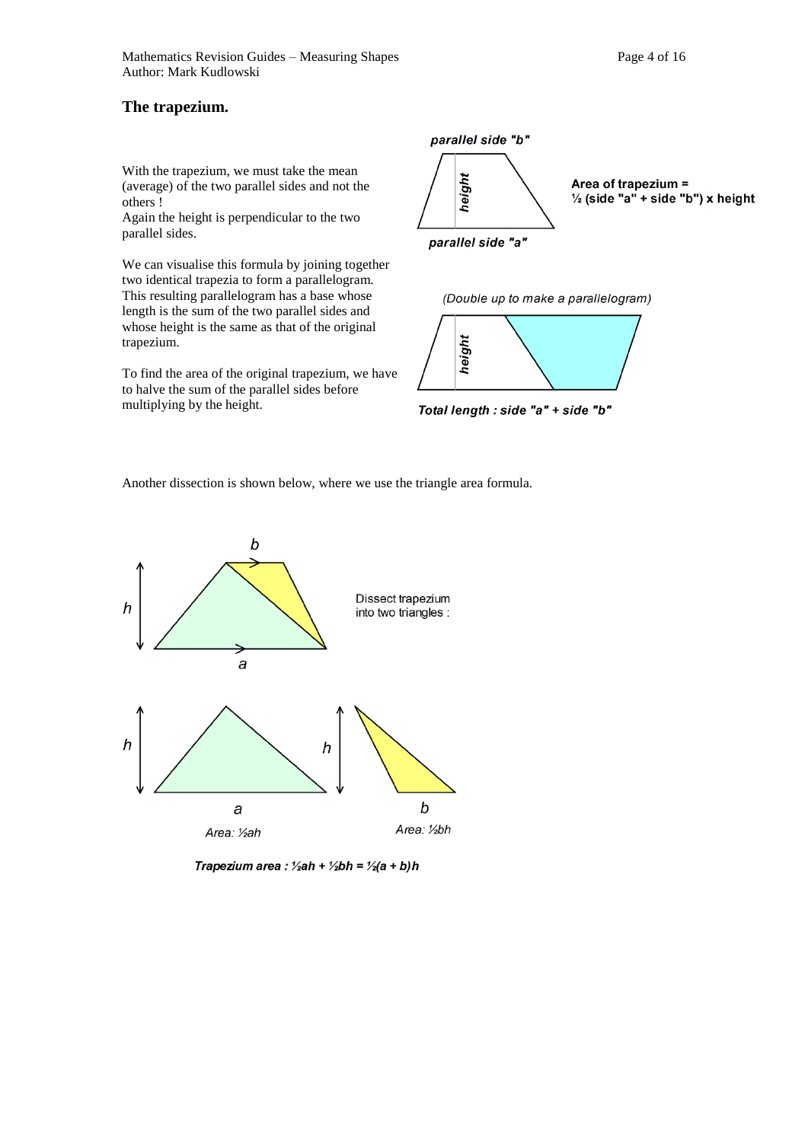With the trapezium, we must take the mean (average) of the two parallel sides and not the others !

Again the height is perpendicular to the two parallel sides.

We can visualise this formula by joining together two identical trapezia to form a parallelogram. This resulting parallelogram has a base whose length is the sum of the two parallel sides and whose height is the same as that of the original trapezium.

To find the area of the original trapezium, we have to halve the sum of the parallel sides before multiplying by the height.



(Double up to make a parallelogram)



Total length : side "a" + side "b"

Another dissection is shown below, where we use the triangle area formula.



Trapezium area : 1/2ah + 1/2bh = 1/2(a + b)h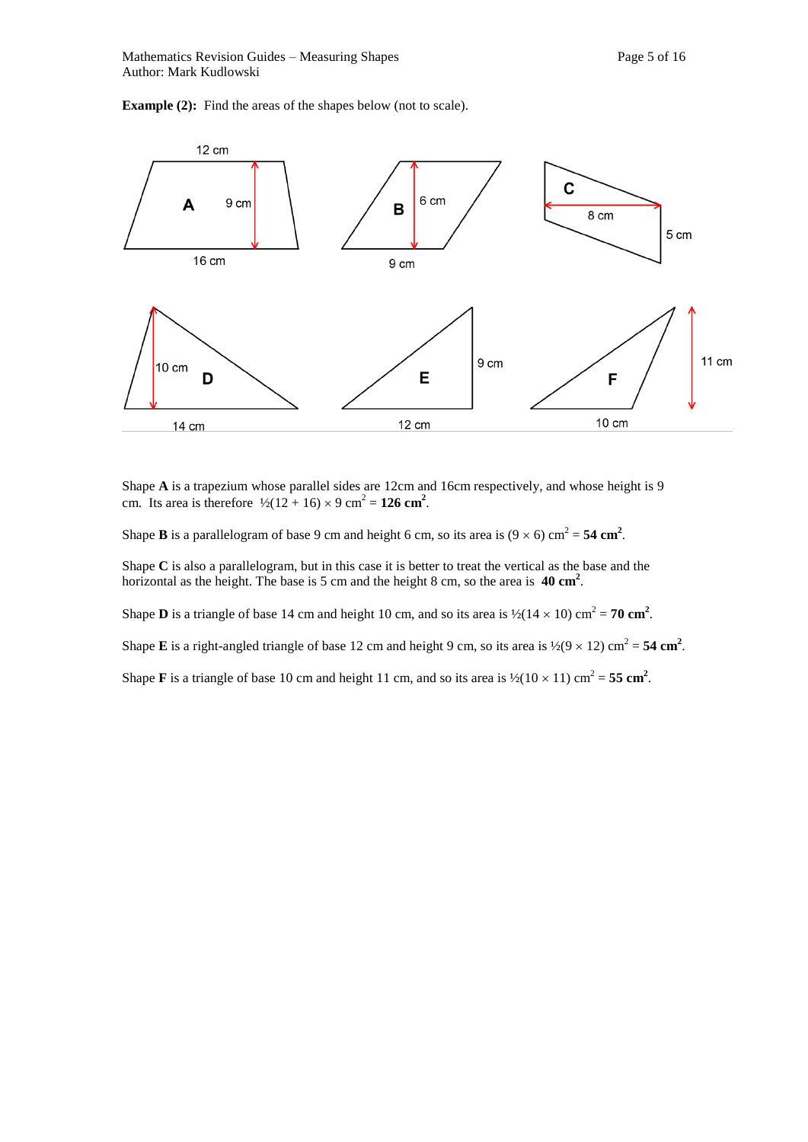**Example (2):** Find the areas of the shapes below (not to scale).



Shape **A** is a trapezium whose parallel sides are 12cm and 16cm respectively, and whose height is 9 cm. Its area is therefore  $\frac{1}{2}(12 + 16) \times 9$  cm<sup>2</sup> = 126 cm<sup>2</sup>.

Shape **B** is a parallelogram of base 9 cm and height 6 cm, so its area is  $(9 \times 6)$  cm<sup>2</sup> = 54 cm<sup>2</sup>.

Shape **C** is also a parallelogram, but in this case it is better to treat the vertical as the base and the horizontal as the height. The base is 5 cm and the height 8 cm, so the area is **40 cm<sup>2</sup>**.

Shape **D** is a triangle of base 14 cm and height 10 cm, and so its area is  $\frac{1}{2}(14 \times 10)$  cm<sup>2</sup> = **70 cm<sup>2</sup>**.

Shape **E** is a right-angled triangle of base 12 cm and height 9 cm, so its area is  $\frac{1}{2}(9 \times 12)$  cm<sup>2</sup> = 54 cm<sup>2</sup>.

Shape **F** is a triangle of base 10 cm and height 11 cm, and so its area is  $\frac{1}{2}(10 \times 11)$  cm<sup>2</sup> = 55 cm<sup>2</sup>.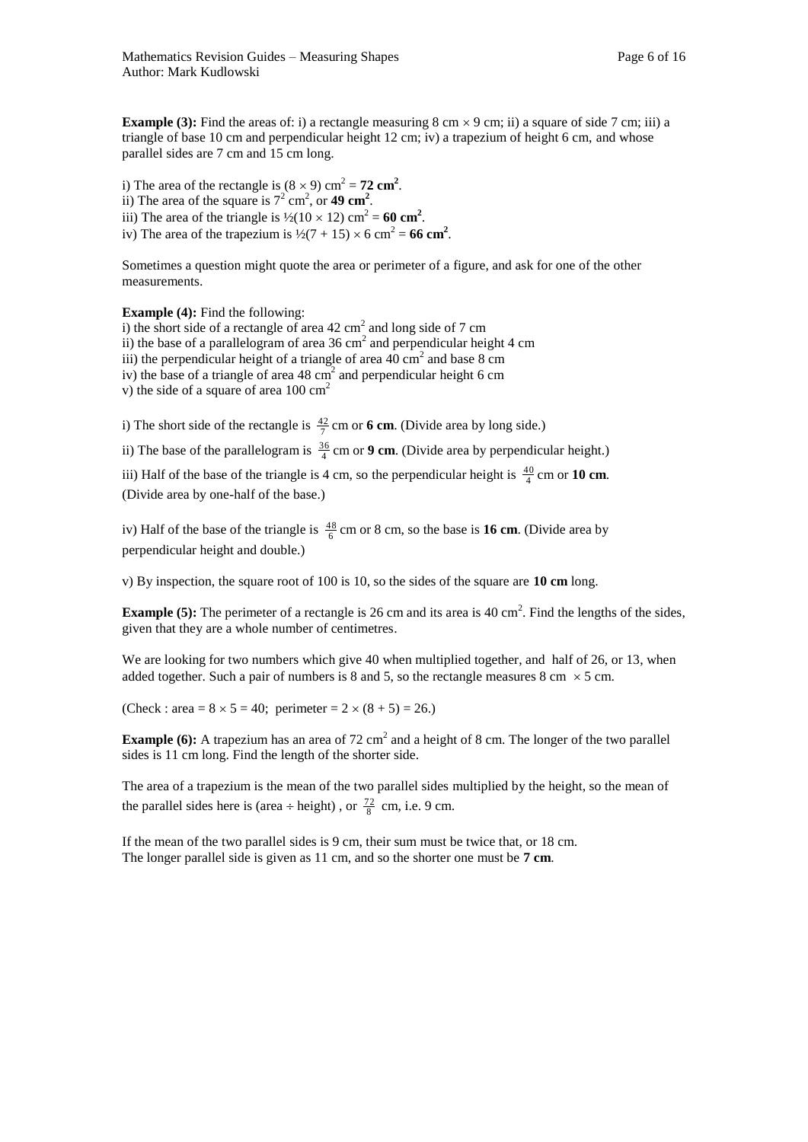**Example (3):** Find the areas of: i) a rectangle measuring  $8 \text{ cm} \times 9 \text{ cm}$ ; ii) a square of side 7 cm; iii) a triangle of base 10 cm and perpendicular height 12 cm; iv) a trapezium of height 6 cm, and whose parallel sides are 7 cm and 15 cm long.

i) The area of the rectangle is  $(8 \times 9)$  cm<sup>2</sup> = **72 cm<sup>2</sup>**. ii) The area of the square is  $7^2$  cm<sup>2</sup>, or **49 cm<sup>2</sup>**. iii) The area of the triangle is  $\frac{1}{2}(10 \times 12)$  cm<sup>2</sup> = 60 cm<sup>2</sup>. iv) The area of the trapezium is  $\frac{1}{2}(7 + 15) \times 6 \text{ cm}^2 = 66 \text{ cm}^2$ .

Sometimes a question might quote the area or perimeter of a figure, and ask for one of the other measurements.

**Example (4):** Find the following:

i) the short side of a rectangle of area  $42 \text{ cm}^2$  and long side of 7 cm ii) the base of a parallelogram of area  $36 \text{ cm}^2$  and perpendicular height 4 cm iii) the perpendicular height of a triangle of area  $40 \text{ cm}^2$  and base  $8 \text{ cm}$ iv) the base of a triangle of area  $48 \text{ cm}^2$  and perpendicular height 6 cm v) the side of a square of area  $100 \text{ cm}^2$ 

i) The short side of the rectangle is  $\frac{42}{7}$  cm or **6 cm**. (Divide area by long side.)

ii) The base of the parallelogram is  $\frac{36}{4}$  cm or **9 cm**. (Divide area by perpendicular height.)

iii) Half of the base of the triangle is 4 cm, so the perpendicular height is  $\frac{40}{4}$  cm or **10 cm**. (Divide area by one-half of the base.)

iv) Half of the base of the triangle is  $\frac{48}{6}$  cm or 8 cm, so the base is **16 cm**. (Divide area by perpendicular height and double.)

v) By inspection, the square root of 100 is 10, so the sides of the square are **10 cm** long.

**Example (5):** The perimeter of a rectangle is 26 cm and its area is 40 cm<sup>2</sup>. Find the lengths of the sides, given that they are a whole number of centimetres.

We are looking for two numbers which give 40 when multiplied together, and half of 26, or 13, when added together. Such a pair of numbers is 8 and 5, so the rectangle measures 8 cm  $\times$  5 cm.

(Check : area =  $8 \times 5 = 40$ ; perimeter =  $2 \times (8 + 5) = 26$ .)

**Example (6):** A trapezium has an area of  $72 \text{ cm}^2$  and a height of 8 cm. The longer of the two parallel sides is 11 cm long. Find the length of the shorter side.

The area of a trapezium is the mean of the two parallel sides multiplied by the height, so the mean of the parallel sides here is (area ÷ height), or  $\frac{72}{8}$  cm, i.e. 9 cm.

If the mean of the two parallel sides is 9 cm, their sum must be twice that, or 18 cm. The longer parallel side is given as 11 cm, and so the shorter one must be **7 cm**.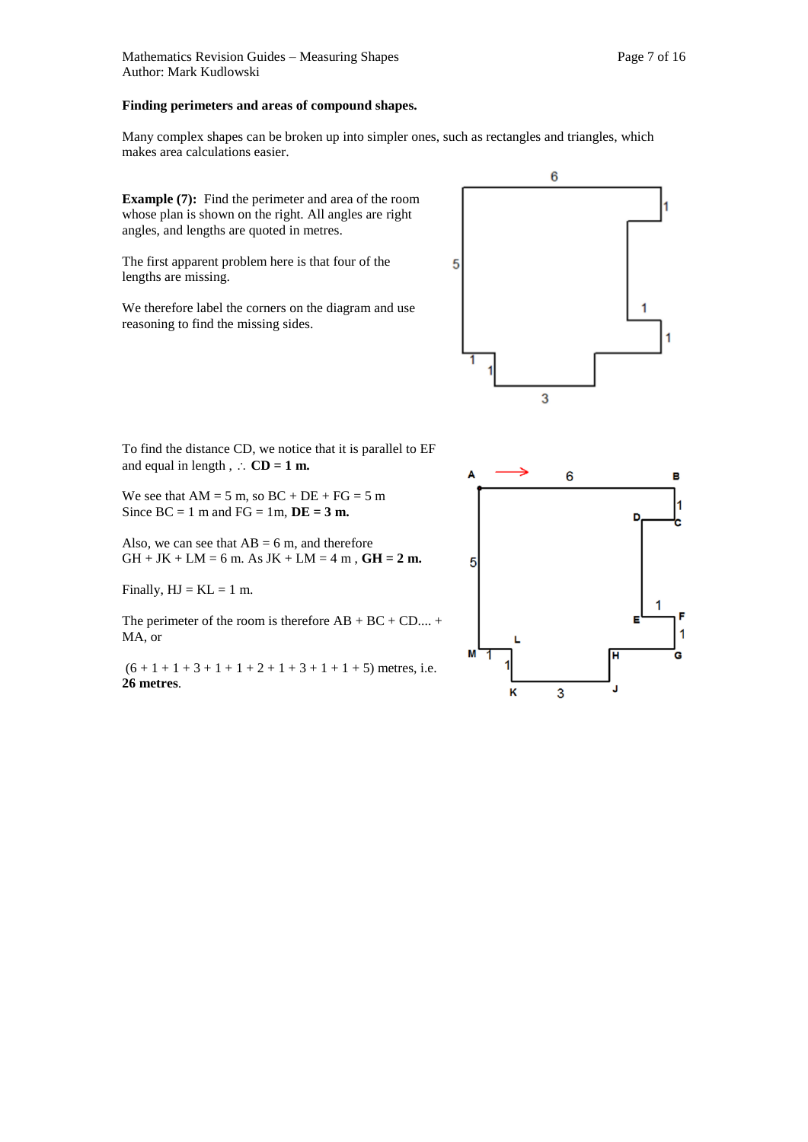#### **Finding perimeters and areas of compound shapes.**

Many complex shapes can be broken up into simpler ones, such as rectangles and triangles, which makes area calculations easier.

**Example (7):** Find the perimeter and area of the room whose plan is shown on the right. All angles are right angles, and lengths are quoted in metres.

The first apparent problem here is that four of the lengths are missing.

We therefore label the corners on the diagram and use reasoning to find the missing sides.



To find the distance CD, we notice that it is parallel to EF

and equal in length,  $\therefore$  **CD** = **1 m.** 

We see that  $AM = 5$  m, so  $BC + DE + FG = 5$  m Since  $BC = 1$  m and  $FG = 1m$ ,  $DE = 3m$ .

Also, we can see that  $AB = 6$  m, and therefore  $GH + JK + LM = 6$  m. As  $JK + LM = 4$  m,  $GH = 2$  m.

Finally,  $HJ = KL = 1$  m.

The perimeter of the room is therefore  $AB + BC + CD \dots$ MA, or

 $(6 + 1 + 1 + 3 + 1 + 1 + 2 + 1 + 3 + 1 + 1 + 5)$  metres, i.e. **26 metres**.

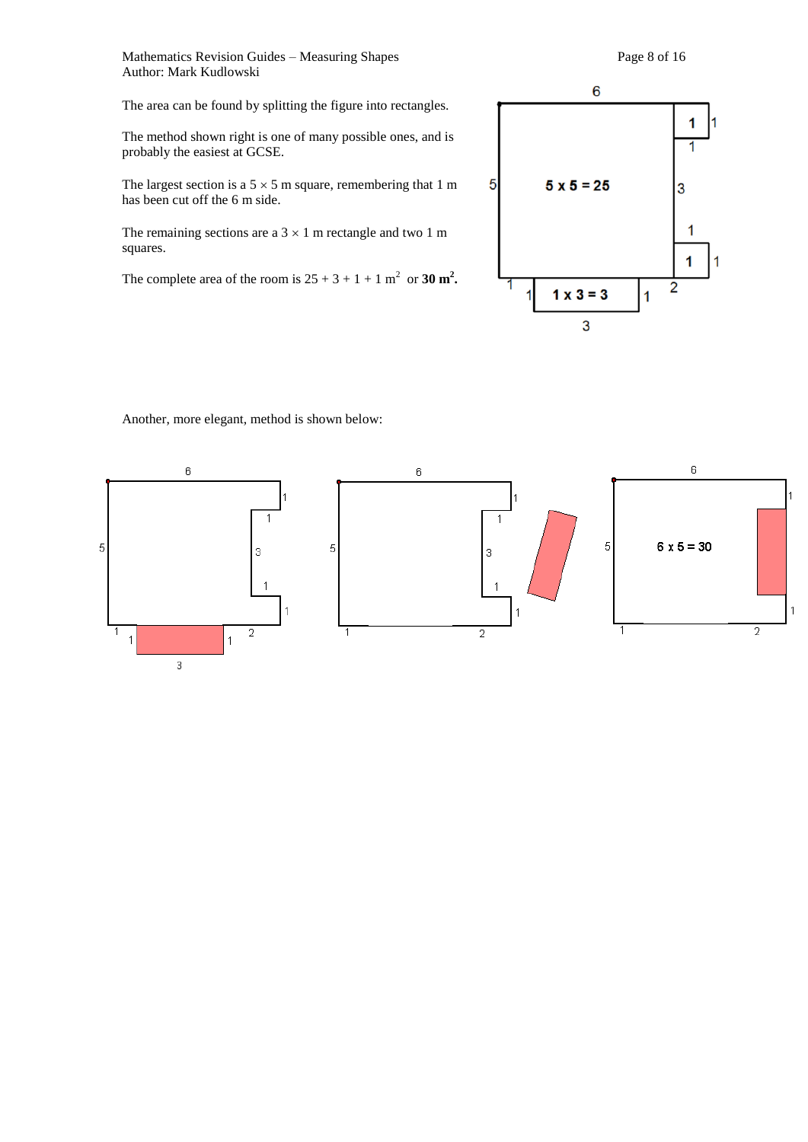Mathematics Revision Guides – Measuring Shapes Page 8 of 16 Author: Mark Kudlowski

The area can be found by splitting the figure into rectangles.

The method shown right is one of many possible ones, and is probably the easiest at GCSE.

The largest section is a  $5 \times 5$  m square, remembering that 1 m has been cut off the 6 m side.

The remaining sections are a  $3 \times 1$  m rectangle and two 1 m squares.

The complete area of the room is  $25 + 3 + 1 + 1$  m<sup>2</sup> or 30 m<sup>2</sup>.



Another, more elegant, method is shown below:

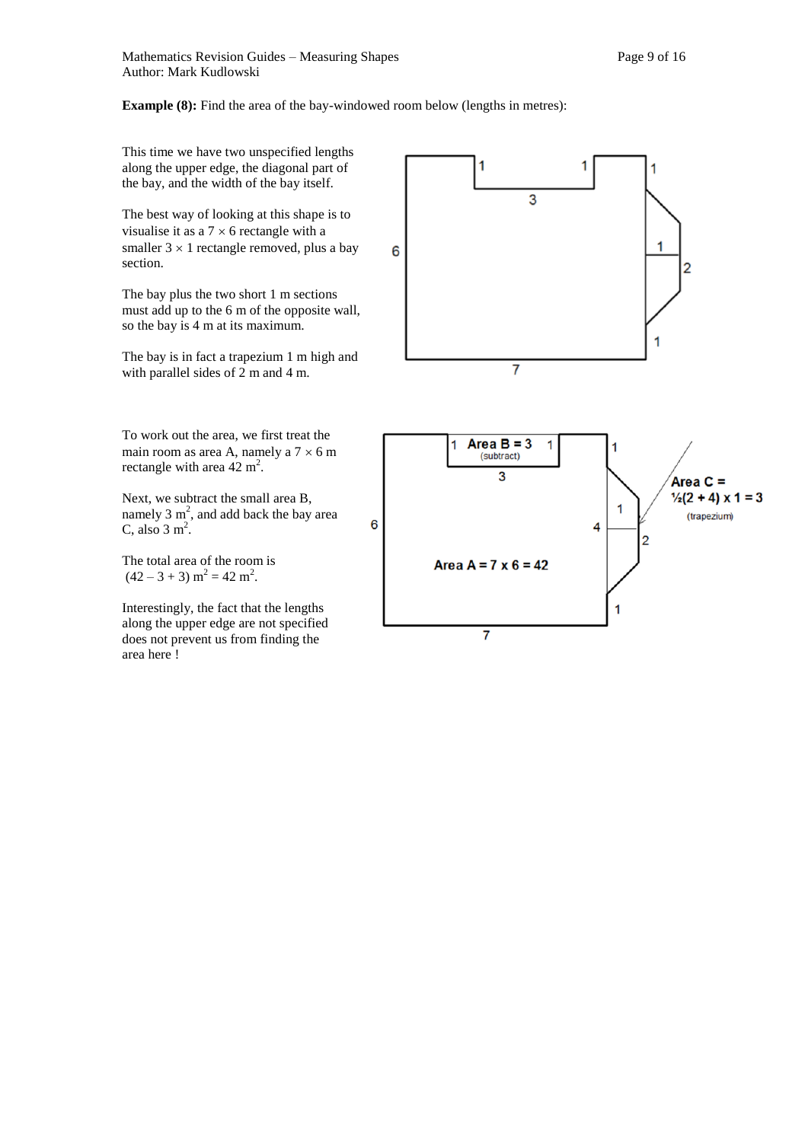

 $(42 - 3 + 3)$  m<sup>2</sup> = 42 m<sup>2</sup>.

Interestingly, the fact that the lengths along the upper edge are not specified does not prevent us from finding the area here !

 $\overline{7}$ 

1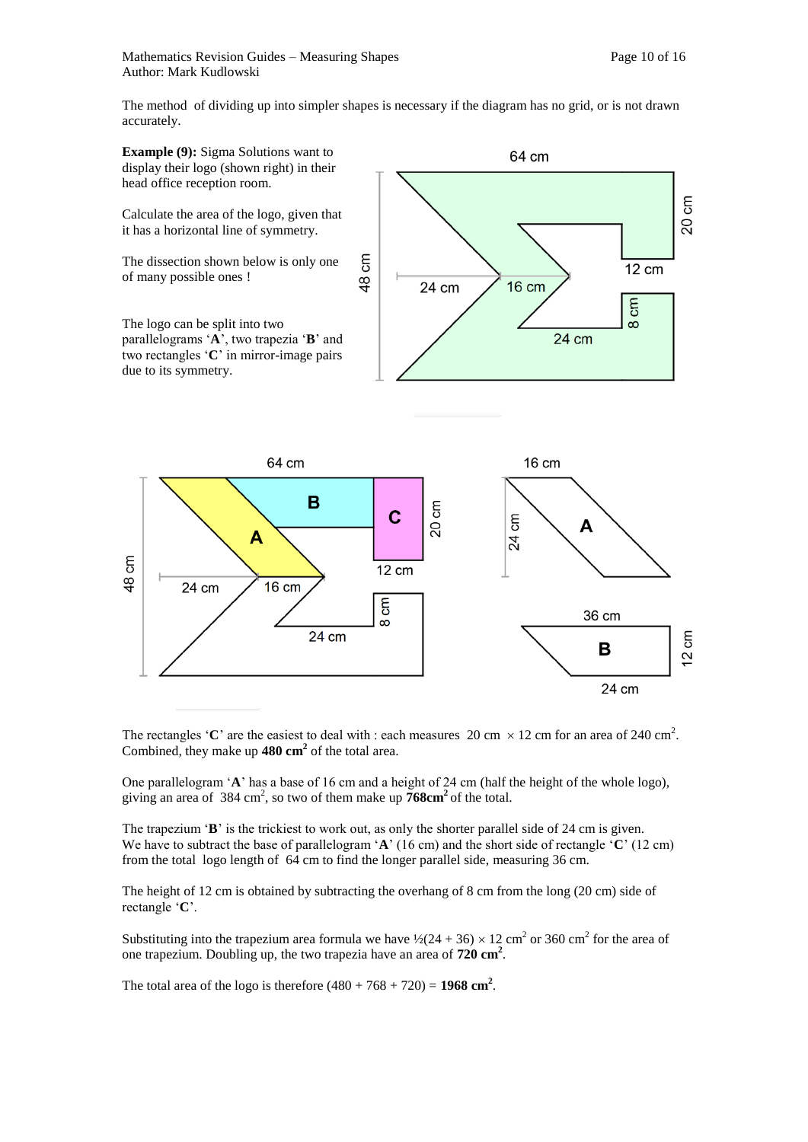The method of dividing up into simpler shapes is necessary if the diagram has no grid, or is not drawn accurately.



The rectangles 'C' are the easiest to deal with : each measures 20 cm  $\times$  12 cm for an area of 240 cm<sup>2</sup>. Combined, they make up **480 cm<sup>2</sup>** of the total area.

One parallelogram '**A**' has a base of 16 cm and a height of 24 cm (half the height of the whole logo), giving an area of  $384 \text{ cm}^2$ , so two of them make up  $768 \text{ cm}^2$  of the total.

The trapezium '**B**' is the trickiest to work out, as only the shorter parallel side of 24 cm is given. We have to subtract the base of parallelogram '**A**' (16 cm) and the short side of rectangle '**C**' (12 cm) from the total logo length of 64 cm to find the longer parallel side, measuring 36 cm.

The height of 12 cm is obtained by subtracting the overhang of 8 cm from the long (20 cm) side of rectangle '**C**'.

Substituting into the trapezium area formula we have  $\frac{1}{2}(24 + 36) \times 12 \text{ cm}^2$  or 360 cm<sup>2</sup> for the area of one trapezium. Doubling up, the two trapezia have an area of **720 cm<sup>2</sup>** .

The total area of the logo is therefore  $(480 + 768 + 720) = 1968$  cm<sup>2</sup>.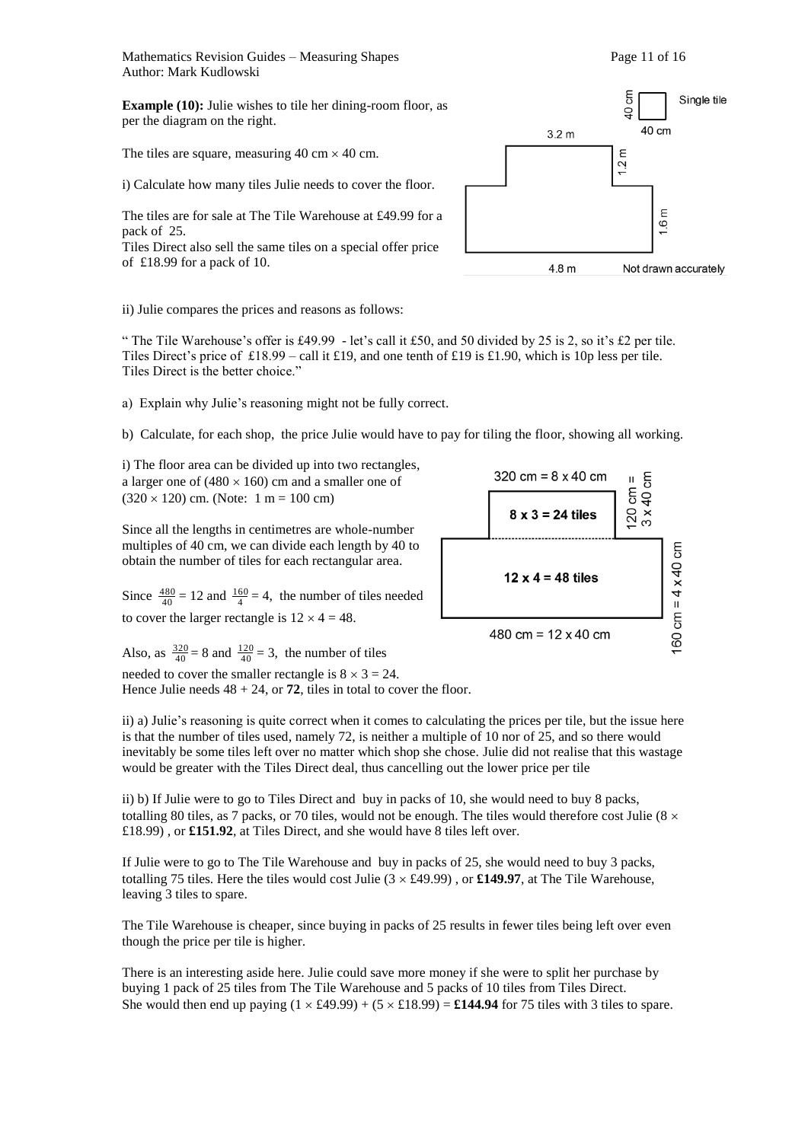Mathematics Revision Guides – Measuring Shapes Page 11 of 16 Author: Mark Kudlowski

**Example (10):** Julie wishes to tile her dining-room floor, as per the diagram on the right.

The tiles are square, measuring  $40 \text{ cm} \times 40 \text{ cm}$ .

i) Calculate how many tiles Julie needs to cover the floor.

The tiles are for sale at The Tile Warehouse at £49.99 for a pack of 25.

Tiles Direct also sell the same tiles on a special offer price of £18.99 for a pack of 10.

ξ Single tile  $\zeta$ 40 cm  $3.2<sub>m</sub>$ E  $1.2<sub>1</sub>$  $1.6<sub>m</sub>$  $4.8<sub>m</sub>$ Not drawn accurately

ii) Julie compares the prices and reasons as follows:

" The Tile Warehouse's offer is £49.99 - let's call it £50, and 50 divided by 25 is 2, so it's £2 per tile. Tiles Direct's price of £18.99 – call it £19, and one tenth of £19 is £1.90, which is 10p less per tile. Tiles Direct is the better choice."

a) Explain why Julie's reasoning might not be fully correct.

b) Calculate, for each shop, the price Julie would have to pay for tiling the floor, showing all working.

i) The floor area can be divided up into two rectangles, a larger one of  $(480 \times 160)$  cm and a smaller one of  $(320 \times 120)$  cm. (Note: 1 m = 100 cm)

Since all the lengths in centimetres are whole-number multiples of 40 cm, we can divide each length by 40 to obtain the number of tiles for each rectangular area.

Since  $\frac{480}{40} = 12$  and  $\frac{160}{4} = 4$ , the number of tiles needed to cover the larger rectangle is  $12 \times 4 = 48$ .



Also, as  $\frac{320}{40} = 8$  and  $\frac{120}{40} = 3$ , the number of tiles needed to cover the smaller rectangle is  $8 \times 3 = 24$ . Hence Julie needs  $48 + 24$ , or **72**, tiles in total to cover the floor.

ii) a) Julie's reasoning is quite correct when it comes to calculating the prices per tile, but the issue here is that the number of tiles used, namely 72, is neither a multiple of 10 nor of 25, and so there would inevitably be some tiles left over no matter which shop she chose. Julie did not realise that this wastage would be greater with the Tiles Direct deal, thus cancelling out the lower price per tile

ii) b) If Julie were to go to Tiles Direct and buy in packs of 10, she would need to buy 8 packs, totalling 80 tiles, as 7 packs, or 70 tiles, would not be enough. The tiles would therefore cost Julie ( $8 \times$ £18.99) , or **£151.92**, at Tiles Direct, and she would have 8 tiles left over.

If Julie were to go to The Tile Warehouse and buy in packs of 25, she would need to buy 3 packs, totalling 75 tiles. Here the tiles would cost Julie  $(3 \times \text{\pounds}49.99)$ , or **£149.97**, at The Tile Warehouse, leaving 3 tiles to spare.

The Tile Warehouse is cheaper, since buying in packs of 25 results in fewer tiles being left over even though the price per tile is higher.

There is an interesting aside here. Julie could save more money if she were to split her purchase by buying 1 pack of 25 tiles from The Tile Warehouse and 5 packs of 10 tiles from Tiles Direct. She would then end up paying  $(1 \times \text{\pounds}49.99) + (5 \times \text{\pounds}18.99) = \text{\pounds}144.94$  for 75 tiles with 3 tiles to spare.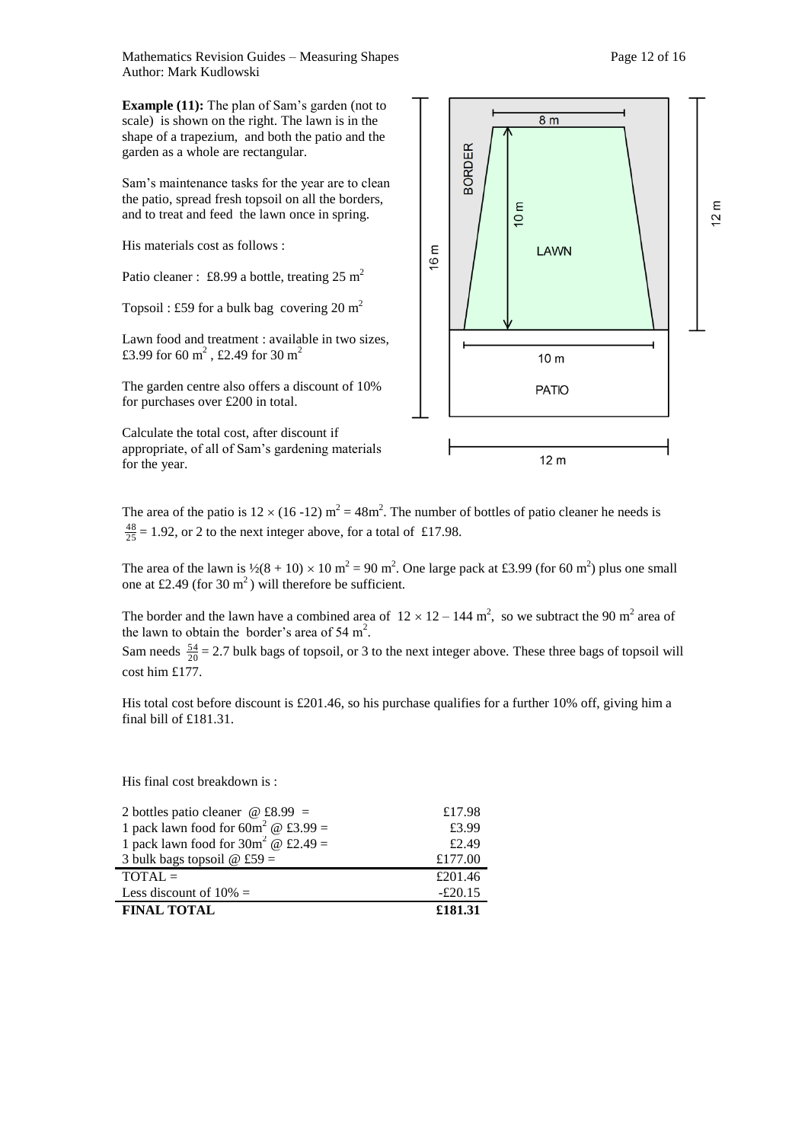Mathematics Revision Guides – Measuring Shapes Page 12 of 16 Author: Mark Kudlowski

**Example (11):** The plan of Sam's garden (not to scale) is shown on the right. The lawn is in the shape of a trapezium, and both the patio and the garden as a whole are rectangular.

Sam's maintenance tasks for the year are to clean the patio, spread fresh topsoil on all the borders, and to treat and feed the lawn once in spring.

His materials cost as follows :

Patio cleaner : £8.99 a bottle, treating  $25 \text{ m}^2$ 

Topsoil : £59 for a bulk bag covering 20 m<sup>2</sup>

Lawn food and treatment : available in two sizes, £3.99 for 60 m<sup>2</sup>, £2.49 for 30 m<sup>2</sup>

The garden centre also offers a discount of 10% for purchases over £200 in total.

Calculate the total cost, after discount if appropriate, of all of Sam's gardening materials for the year.



The area of the patio is  $12 \times (16 - 12)$  m<sup>2</sup> = 48m<sup>2</sup>. The number of bottles of patio cleaner he needs is  $\frac{48}{25}$  = 1.92, or 2 to the next integer above, for a total of £17.98.

The area of the lawn is  $\frac{1}{2}(8 + 10) \times 10 \text{ m}^2 = 90 \text{ m}^2$ . One large pack at £3.99 (for 60 m<sup>2</sup>) plus one small one at £2.49 (for 30  $m<sup>2</sup>$ ) will therefore be sufficient.

The border and the lawn have a combined area of  $12 \times 12 - 144$  m<sup>2</sup>, so we subtract the 90 m<sup>2</sup> area of the lawn to obtain the border's area of 54 m<sup>2</sup>.

Sam needs  $\frac{54}{20}$  = 2.7 bulk bags of topsoil, or 3 to the next integer above. These three bags of topsoil will cost him £177.

His total cost before discount is £201.46, so his purchase qualifies for a further 10% off, giving him a final bill of £181.31.

His final cost breakdown is :

| 2 bottles patio cleaner $\omega$ £8.99 =           | £17.98    |
|----------------------------------------------------|-----------|
| 1 pack lawn food for $60m^2 \omega \pounds 3.99 =$ | £3.99     |
| 1 pack lawn food for $30m^2 \omega \pounds 2.49 =$ | £2.49     |
| 3 bulk bags topsoil $\omega$ £59 =                 | £177.00   |
| $TOTAL =$                                          | £201.46   |
| Less discount of $10\% =$                          | $-£20.15$ |
| <b>FINAL TOTAL</b>                                 | £181.31   |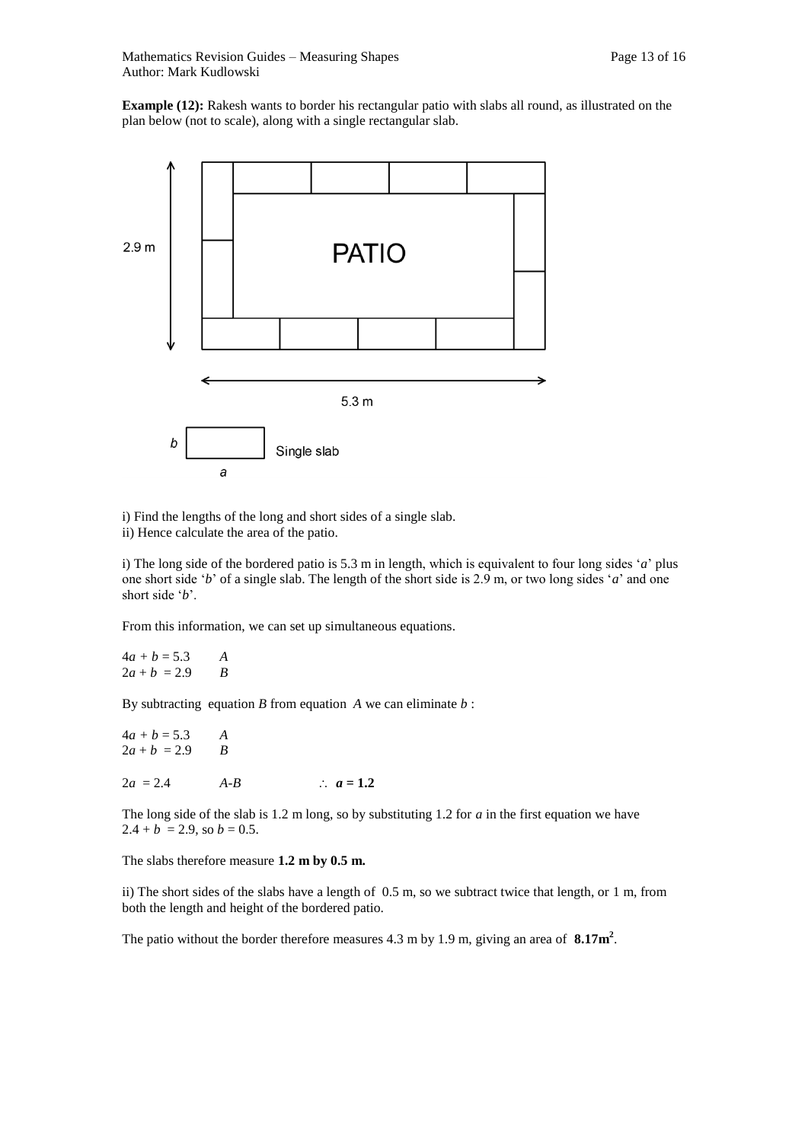**Example (12):** Rakesh wants to border his rectangular patio with slabs all round, as illustrated on the plan below (not to scale), along with a single rectangular slab.



i) Find the lengths of the long and short sides of a single slab.

ii) Hence calculate the area of the patio.

i) The long side of the bordered patio is 5.3 m in length, which is equivalent to four long sides '*a*' plus one short side '*b*' of a single slab. The length of the short side is 2.9 m, or two long sides '*a*' and one short side '*b*'.

From this information, we can set up simultaneous equations.

 $4a + b = 5.3$  *A*  $2a + b = 2.9$  *B* 

By subtracting equation *B* from equation *A* we can eliminate *b* :

 $4a + b = 5.3$  *A*  $2a + b = 2.9$  *B*  $2a = 2.4$   $A-B$   $\therefore a = 1.2$ 

The long side of the slab is 1.2 m long, so by substituting 1.2 for *a* in the first equation we have  $2.4 + b = 2.9$ , so  $b = 0.5$ .

The slabs therefore measure **1.2 m by 0.5 m.** 

ii) The short sides of the slabs have a length of 0.5 m, so we subtract twice that length, or 1 m, from both the length and height of the bordered patio.

The patio without the border therefore measures 4.3 m by 1.9 m, giving an area of **8.17m<sup>2</sup>** .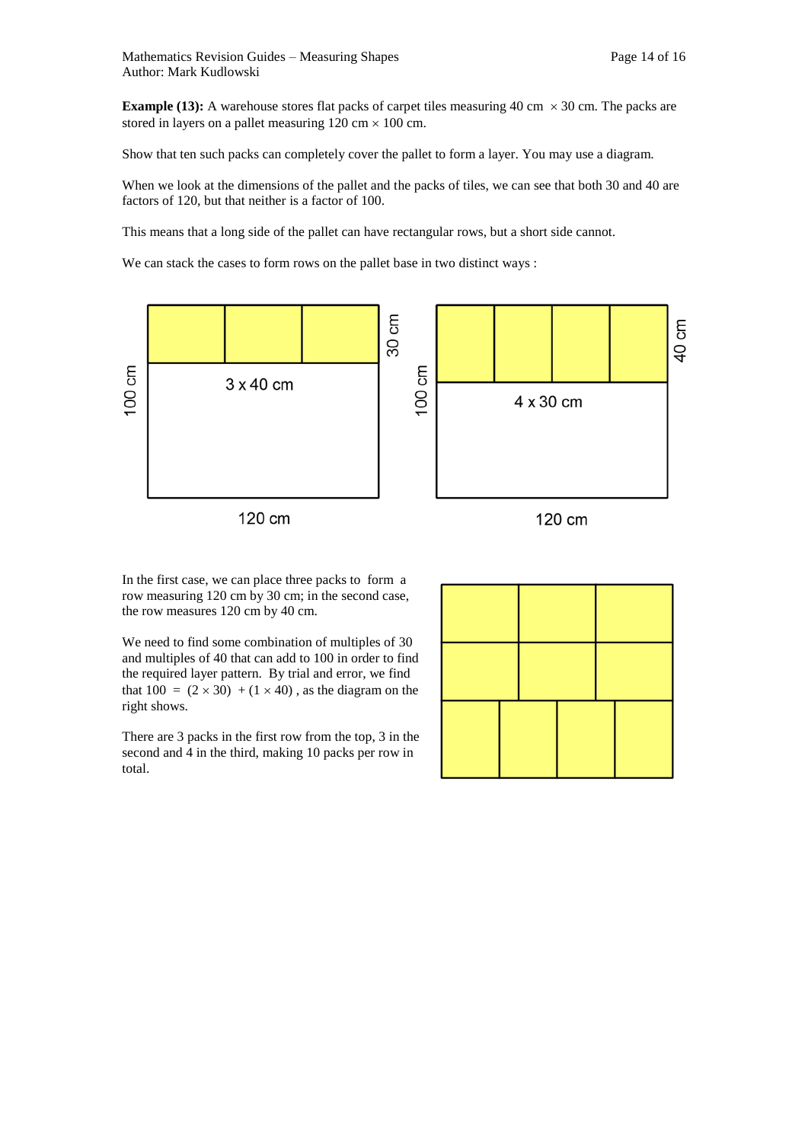**Example (13):** A warehouse stores flat packs of carpet tiles measuring 40 cm  $\times$  30 cm. The packs are stored in layers on a pallet measuring  $120 \text{ cm} \times 100 \text{ cm}$ .

Show that ten such packs can completely cover the pallet to form a layer. You may use a diagram.

When we look at the dimensions of the pallet and the packs of tiles, we can see that both 30 and 40 are factors of 120, but that neither is a factor of 100.

This means that a long side of the pallet can have rectangular rows, but a short side cannot.

We can stack the cases to form rows on the pallet base in two distinct ways :



In the first case, we can place three packs to form a row measuring 120 cm by 30 cm; in the second case, the row measures 120 cm by 40 cm.

We need to find some combination of multiples of 30 and multiples of 40 that can add to 100 in order to find the required layer pattern. By trial and error, we find that  $100 = (2 \times 30) + (1 \times 40)$ , as the diagram on the right shows.

There are 3 packs in the first row from the top, 3 in the second and 4 in the third, making 10 packs per row in total.

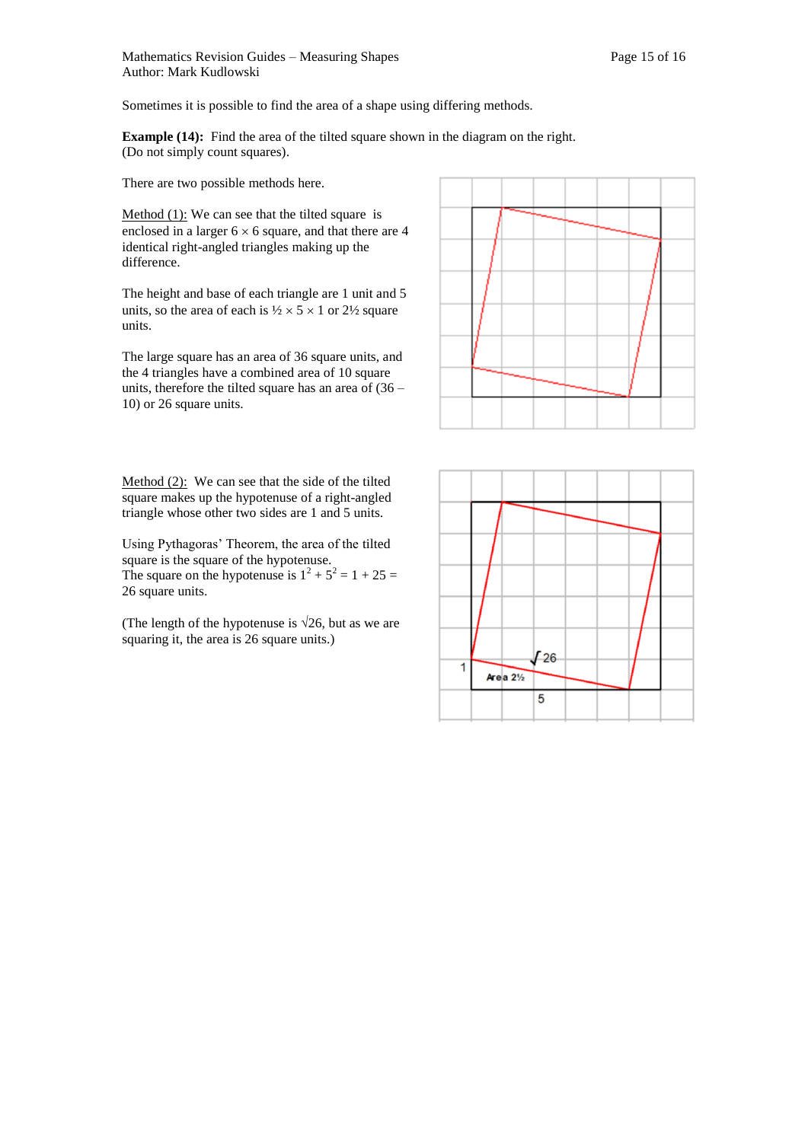Sometimes it is possible to find the area of a shape using differing methods.

**Example (14):** Find the area of the tilted square shown in the diagram on the right. (Do not simply count squares).

There are two possible methods here.

Method  $(1)$ : We can see that the tilted square is enclosed in a larger  $6 \times 6$  square, and that there are 4 identical right-angled triangles making up the difference.

The height and base of each triangle are 1 unit and 5 units, so the area of each is  $\frac{1}{2} \times 5 \times 1$  or  $\frac{21}{2}$  square units.

The large square has an area of 36 square units, and the 4 triangles have a combined area of 10 square units, therefore the tilted square has an area of (36 – 10) or 26 square units.

Method (2): We can see that the side of the tilted square makes up the hypotenuse of a right-angled triangle whose other two sides are 1 and 5 units.

Using Pythagoras' Theorem, the area of the tilted square is the square of the hypotenuse. The square on the hypotenuse is  $1^2 + 5^2 = 1 + 25 =$ 26 square units.

(The length of the hypotenuse is  $\sqrt{26}$ , but as we are squaring it, the area is 26 square units.)